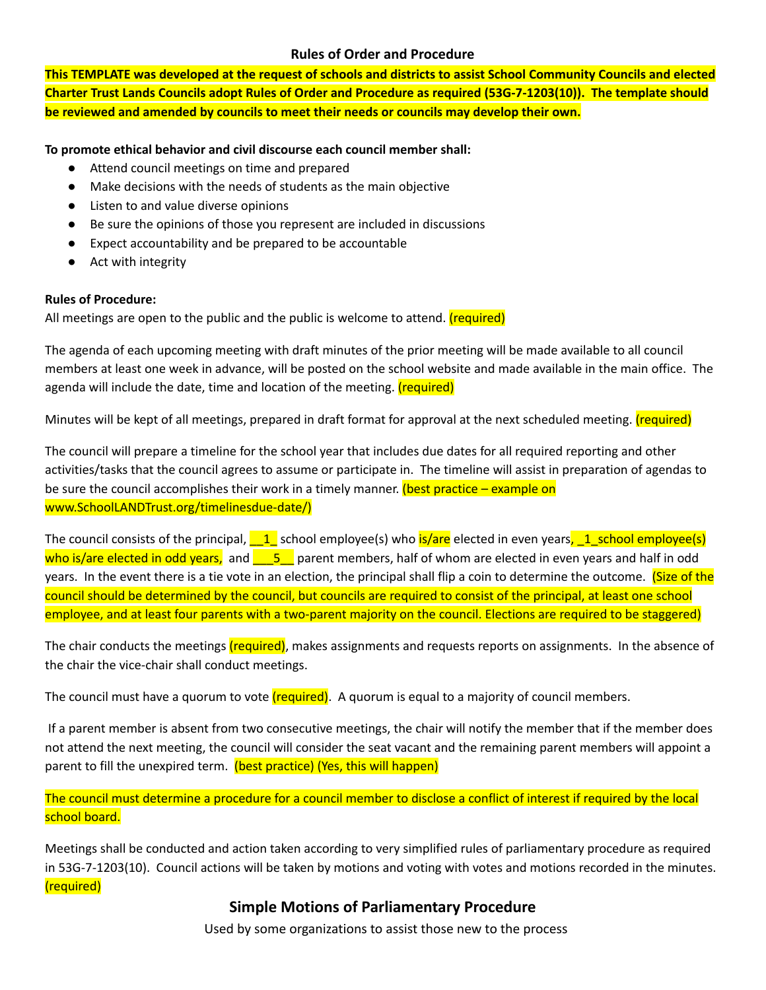## **Rules of Order and Procedure**

This TEMPLATE was developed at the request of schools and districts to assist School Community Councils and elected Charter Trust Lands Councils adopt Rules of Order and Procedure as required (53G-7-1203(10)). The template should **be reviewed and amended by councils to meet their needs or councils may develop their own.**

## **To promote ethical behavior and civil discourse each council member shall:**

- Attend council meetings on time and prepared
- Make decisions with the needs of students as the main objective
- Listen to and value diverse opinions
- Be sure the opinions of those you represent are included in discussions
- Expect accountability and be prepared to be accountable
- **●** Act with integrity

## **Rules of Procedure:**

All meetings are open to the public and the public is welcome to attend. (required)

The agenda of each upcoming meeting with draft minutes of the prior meeting will be made available to all council members at least one week in advance, will be posted on the school website and made available in the main office. The agenda will include the date, time and location of the meeting. (required)

Minutes will be kept of all meetings, prepared in draft format for approval at the next scheduled meeting. (required)

The council will prepare a timeline for the school year that includes due dates for all required reporting and other activities/tasks that the council agrees to assume or participate in. The timeline will assist in preparation of agendas to be sure the council accomplishes their work in a timely manner. (best practice – example on www.SchoolLANDTrust.org/timelinesdue-date/)

The council consists of the principal,  $\underline{\hspace{1cm}} 1$  school employee(s) who is/are elected in even years,  $\underline{\hspace{1cm}} 1$  school employee(s) who is/are elected in odd years, and  $\overline{a}$  parent members, half of whom are elected in even years and half in odd years. In the event there is a tie vote in an election, the principal shall flip a coin to determine the outcome. (Size of the council should be determined by the council, but councils are required to consist of the principal, at least one school employee, and at least four parents with a two-parent majority on the council. Elections are required to be staggered)

The chair conducts the meetings (required), makes assignments and requests reports on assignments. In the absence of the chair the vice-chair shall conduct meetings.

The council must have a quorum to vote (required). A quorum is equal to a majority of council members.

If a parent member is absent from two consecutive meetings, the chair will notify the member that if the member does not attend the next meeting, the council will consider the seat vacant and the remaining parent members will appoint a parent to fill the unexpired term. (best practice) (Yes, this will happen)

The council must determine a procedure for a council member to disclose a conflict of interest if required by the local school board.

Meetings shall be conducted and action taken according to very simplified rules of parliamentary procedure as required in 53G-7-1203(10). Council actions will be taken by motions and voting with votes and motions recorded in the minutes. (required)

## **Simple Motions of Parliamentary Procedure**

Used by some organizations to assist those new to the process